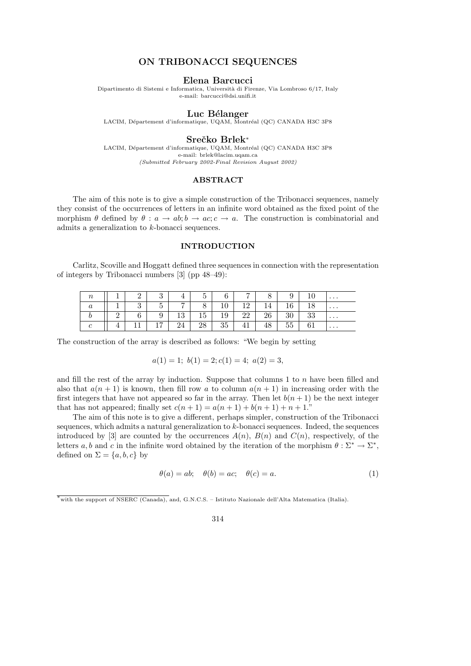# ON TRIBONACCI SEQUENCES

## Elena Barcucci

Dipartimento di Sistemi e Informatica, Università di Firenze, Via Lombroso 6/17, Italy e-mail: barcucci@dsi.unifi.it

## Luc Bélanger

LACIM, Département d'informatique, UQAM, Montréal (QC) CANADA H3C 3P8

#### Srečko Brlek<sup>∗</sup>

LACIM, Département d'informatique, UQAM, Montréal (QC) CANADA H3C 3P8 e-mail: brlek@lacim.uqam.ca (Submitted February 2002-Final Revision August 2002)

#### ABSTRACT

The aim of this note is to give a simple construction of the Tribonacci sequences, namely they consist of the occurrences of letters in an infinite word obtained as the fixed point of the morphism  $\theta$  defined by  $\theta : a \to ab$ ;  $b \to ac$ ;  $c \to a$ . The construction is combinatorial and admits a generalization to k-bonacci sequences.

## INTRODUCTION

Carlitz, Scoville and Hoggatt defined three sequences in connection with the representation of integers by Tribonacci numbers [3] (pp 48–49):

| $\, n$ |          | $\Omega$ | 9<br>ಲ | 4              | 5  | 6  | $\overline{ }$ | 8  | 9      |    | $\cdots$ |
|--------|----------|----------|--------|----------------|----|----|----------------|----|--------|----|----------|
| а      |          | ಀ        | К<br>◡ | $\overline{ }$ | 8  | 10 | 12             | 14 | 16     |    | .        |
|        | $\Omega$ | 6        | 9      | 13             | 15 | 19 | 22             | 26 | 30     | 33 | .        |
|        |          | ⊥⊥       | 17     | 24             | 28 | 35 | 41             | 48 | $55-1$ | 61 | .        |

The construction of the array is described as follows: "We begin by setting

$$
a(1) = 1; b(1) = 2; c(1) = 4; a(2) = 3,
$$

and fill the rest of the array by induction. Suppose that columns  $1$  to  $n$  have been filled and also that  $a(n + 1)$  is known, then fill row a to column  $a(n + 1)$  in increasing order with the first integers that have not appeared so far in the array. Then let  $b(n + 1)$  be the next integer that has not appeared; finally set  $c(n + 1) = a(n + 1) + b(n + 1) + n + 1$ ."

The aim of this note is to give a different, perhaps simpler, construction of the Tribonacci sequences, which admits a natural generalization to  $k$ -bonacci sequences. Indeed, the sequences introduced by [3] are counted by the occurrences  $A(n)$ ,  $B(n)$  and  $C(n)$ , respectively, of the letters a, b and c in the infinite word obtained by the iteration of the morphism  $\theta : \Sigma^* \to \Sigma^*$ , defined on  $\Sigma = \{a, b, c\}$  by

$$
\theta(a) = ab; \quad \theta(b) = ac; \quad \theta(c) = a.
$$
\n(1)

314

<sup>∗</sup>with the support of NSERC (Canada), and, G.N.C.S. – Istituto Nazionale dell'Alta Matematica (Italia).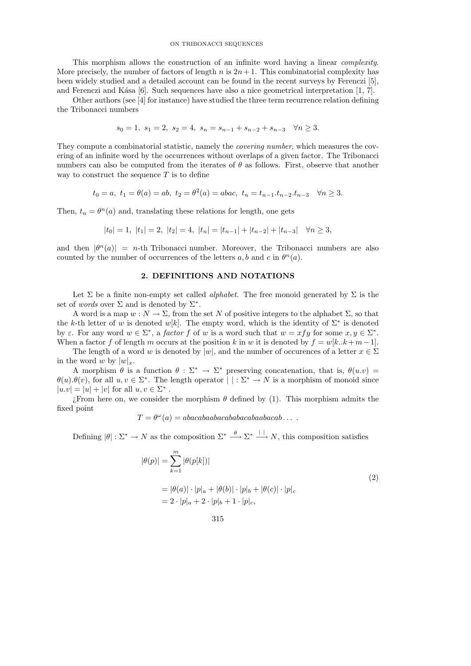#### ON TRIBONACCI SEQUENCES

This morphism allows the construction of an infinite word having a linear *complexity*. More precisely, the number of factors of length n is  $2n + 1$ . This combinatorial complexity has been widely studied and a detailed account can be found in the recent surveys by Ferenczi [5], and Ferenczi and K $\acute{a}$ sa [6]. Such sequences have also a nice geometrical interpretation [1, 7].

Other authors (see [4] for instance) have studied the three term recurrence relation defining the Tribonacci numbers

$$
s_0 = 1
$$
,  $s_1 = 2$ ,  $s_2 = 4$ ,  $s_n = s_{n-1} + s_{n-2} + s_{n-3}$   $\forall n \ge 3$ .

They compute a combinatorial statistic, namely the covering number, which measures the covering of an infinite word by the occurrences without overlaps of a given factor. The Tribonacci numbers can also be computed from the iterates of  $\theta$  as follows. First, observe that another way to construct the sequence  $T$  is to define

$$
t_0 = a
$$
,  $t_1 = \theta(a) = ab$ ,  $t_2 = \theta^2(a) = abac$ ,  $t_n = t_{n-1}.t_{n-2}.t_{n-3} \quad \forall n \ge 3$ .

Then,  $t_n = \theta^n(a)$  and, translating these relations for length, one gets

$$
|t_0|=1, \ |t_1|=2, \ |t_2|=4, \ |t_n|=|t_{n-1}|+|t_{n-2}|+|t_{n-3}| \quad \forall n\geq 3,
$$

and then  $|\theta^n(a)| = n$ -th Tribonacci number. Moreover, the Tribonacci numbers are also counted by the number of occurrences of the letters  $a, b$  and  $c$  in  $\theta^n(a)$ .

### 2. DEFINITIONS AND NOTATIONS

Let  $\Sigma$  be a finite non-empty set called *alphabet*. The free monoid generated by  $\Sigma$  is the set of *words* over  $\Sigma$  and is denoted by  $\Sigma^*$ .

A word is a map  $w : N \to \Sigma$ , from the set N of positive integers to the alphabet  $\Sigma$ , so that the k-th letter of w is denoted w[k]. The empty word, which is the identity of  $\Sigma^*$  is denoted by  $\varepsilon$ . For any word  $w \in \Sigma^*$ , a *factor f* of w is a word such that  $w = x f y$  for some  $x, y \in \Sigma^*$ . When a factor f of length m occurs at the position k in w it is denoted by  $f = w[k..k+m-1]$ .

The length of a word w is denoted by |w|, and the number of occurences of a letter  $x \in \Sigma$ in the word w by  $|w|_x$ .

A morphism  $\theta$  is a function  $\theta : \Sigma^* \to \Sigma^*$  preserving concatenation, that is,  $\theta(u.v)$  =  $\theta(u) \cdot \theta(v)$ , for all  $u, v \in \Sigma^*$ . The length operator  $| \cdot \Sigma^* \to N$  is a morphism of monoid since  $|u.v| = |u| + |v|$  for all  $u, v \in \Sigma^*$ .

¿From here on, we consider the morphism  $\theta$  defined by (1). This morphism admits the fixed point

 $T = \theta^{\omega}(a) = abacabaabaabaabaabaabaabaaba \ldots$ 

Defining  $|\theta|: \Sigma^* \to N$  as the composition  $\Sigma^* \stackrel{\theta}{\longrightarrow} \Sigma^* \stackrel{|\cdot|}{\longrightarrow} N$ , this composition satisfies

$$
|\theta(p)| = \sum_{k=1}^{m} |\theta(p[k])|
$$
  
=  $|\theta(a)| \cdot |p|_a + |\theta(b)| \cdot |p|_b + |\theta(c)| \cdot |p|_c$   
=  $2 \cdot |p|_a + 2 \cdot |p|_b + 1 \cdot |p|_c$ , (2)

$$
315 \\
$$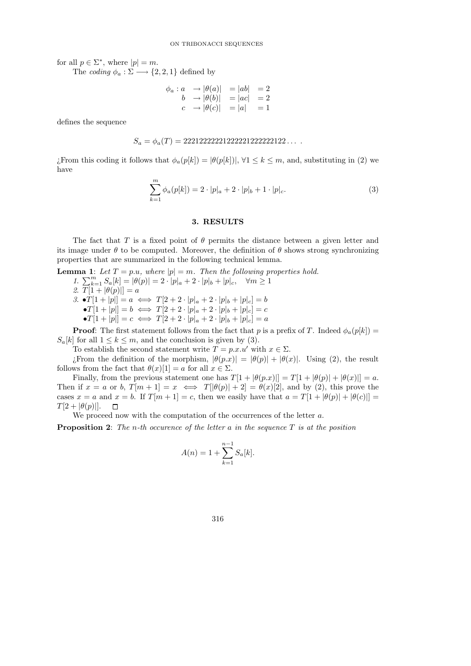for all  $p \in \Sigma^*$ , where  $|p| = m$ .

The coding  $\phi_a : \Sigma \longrightarrow \{2, 2, 1\}$  defined by

$$
\begin{array}{ccc}\n\phi_a: a & \rightarrow |\theta(a)| & = |ab| & = 2\\
b & \rightarrow |\theta(b)| & = |ac| & = 2\\
c & \rightarrow |\theta(c)| & = |a| & = 1\n\end{array}
$$

defines the sequence

$$
S_a = \phi_a(T) = 2221222222222222222222222 \ldots
$$

¿From this coding it follows that  $\phi_a(p[k]) = |\theta(p[k])|$ ,  $\forall 1 \leq k \leq m$ , and, substituting in (2) we have

$$
\sum_{k=1}^{m} \phi_a(p[k]) = 2 \cdot |p|_a + 2 \cdot |p|_b + 1 \cdot |p|_c.
$$
 (3)

## 3. RESULTS

The fact that T is a fixed point of  $\theta$  permits the distance between a given letter and its image under  $\theta$  to be computed. Moreover, the definition of  $\theta$  shows strong synchronizing properties that are summarized in the following technical lemma.

**Lemma 1:** Let  $T = p.u$ , where  $|p| = m$ . Then the following properties hold. 1.  $\sum_{k=1}^{m} S_a[k] = |\theta(p)| = 2 \cdot |p|_a + 2 \cdot |p|_b + |p|_c, \quad \forall m \ge 1$ 2.  $T[1 + |\theta(p)|] = a$ 3.  $\bullet T[1+|p|] = a \iff T[2+2\cdot|p|_a+2\cdot|p|_b+|p|_c] = b$  $\bullet T[1+|p|] = b \iff T[2+2\cdot|p|_a+2\cdot|p|_b+|p|_c] = c$  $\bullet T[1+|p|] = c \iff T[2+2\cdot|p|_a+2\cdot|p|_b+|p|_c] = a$ 

**Proof:** The first statement follows from the fact that p is a prefix of T. Indeed  $\phi_a(p[k])$  =  $S_a[k]$  for all  $1 \leq k \leq m$ , and the conclusion is given by (3).

To establish the second statement write  $T = p.x.u'$  with  $x \in \Sigma$ .

¿From the definition of the morphism,  $|\theta(p.x)| = |\theta(p)| + |\theta(x)|$ . Using (2), the result follows from the fact that  $\theta(x)[1] = a$  for all  $x \in \Sigma$ .

Finally, from the previous statement one has  $T[1 + |\theta(p.x)||] = T[1 + |\theta(p)| + |\theta(x)||] = a$ . Then if  $x = a$  or b,  $T[m + 1] = x \iff T[\theta(p)| + 2] = \theta(x)[2]$ , and by (2), this prove the cases  $x = a$  and  $x = b$ . If  $T[m+1] = c$ , then we easily have that  $a = T[1 + |\theta(p)| + |\theta(c)|] =$  $T[2 + |\theta(p)|].$  $\Box$ 

We proceed now with the computation of the occurrences of the letter  $a$ .

**Proposition 2:** The n-th occurence of the letter a in the sequence  $T$  is at the position

$$
A(n) = 1 + \sum_{k=1}^{n-1} S_a[k].
$$

316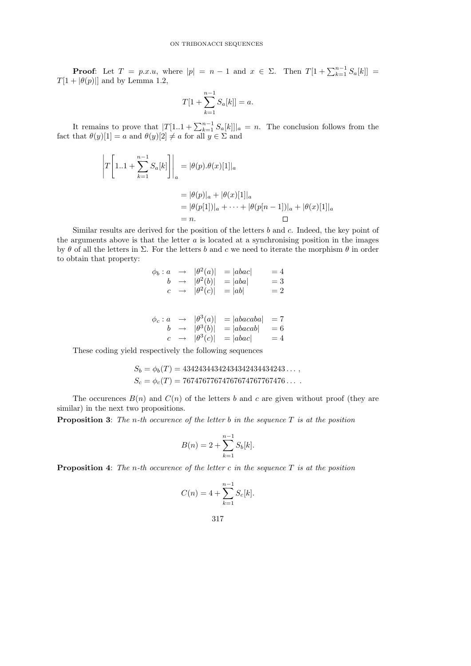**Proof:** Let  $T = p.x.u$ , where  $|p| = n - 1$  and  $x \in \Sigma$ . Then  $T[1 + \sum_{k=1}^{n-1} S_a[k]] =$  $T[1 + |\theta(p)|]$  and by Lemma 1.2,

$$
T[1 + \sum_{k=1}^{n-1} S_a[k]] = a.
$$

It remains to prove that  $|T[1..1 + \sum_{k=1}^{n-1} S_a[k]]|_a = n$ . The conclusion follows from the fact that  $\theta(y)[1] = a$  and  $\theta(y)[2] \neq a$  for all  $y \in \Sigma$  and

$$
\left| T \left[ 1..1 + \sum_{k=1}^{n-1} S_a[k] \right] \right|_a = |\theta(p).\theta(x)[1]|_a
$$
  
=  $|\theta(p)|_a + |\theta(x)[1]|_a$   
=  $|\theta(p[1])|_a + \cdots + |\theta(p[n-1])|_a + |\theta(x)[1]|_a$   
= n.

Similar results are derived for the position of the letters  $b$  and  $c$ . Indeed, the key point of the arguments above is that the letter  $a$  is located at a synchronising position in the images by  $\theta$  of all the letters in  $\Sigma$ . For the letters b and c we need to iterate the morphism  $\theta$  in order to obtain that property:

|              | $\phi_b: a \rightarrow  \theta^2(a) $<br>$b \rightarrow  \theta^2(b) $<br>$c \rightarrow  \theta^2(c) $ | $=  abac $<br>$=  aba $<br>$=  ab $ | $=4$<br>$=$ 3<br>$=2$ |
|--------------|---------------------------------------------------------------------------------------------------------|-------------------------------------|-----------------------|
| $\phi_c : a$ | $\rightarrow$ $ \theta^3(a) $                                                                           | $=  abacaba  = 7$                   |                       |

$$
\begin{array}{rcl}\n\varphi_c: a & \to & |\theta^-(a)| & = |a\omega ac a\omega a| & = i \\
b & \to & |\theta^3(b)| & = |abacab| & = 6 \\
c & \to & |\theta^3(c)| & = |abac| & = 4\n\end{array}
$$

These coding yield respectively the following sequences

$$
S_b = \phi_b(T) = 43424344342434342434434243\dots,
$$
  
\n
$$
S_c = \phi_c(T) = 76747677674767674767767476\dots.
$$

The occurences  $B(n)$  and  $C(n)$  of the letters b and c are given without proof (they are similar) in the next two propositions.

**Proposition 3:** The n-th occurence of the letter b in the sequence  $T$  is at the position

$$
B(n) = 2 + \sum_{k=1}^{n-1} S_b[k].
$$

**Proposition 4:** The n-th occurence of the letter c in the sequence  $T$  is at the position

$$
C(n) = 4 + \sum_{k=1}^{n-1} S_c[k].
$$

$$
317\,
$$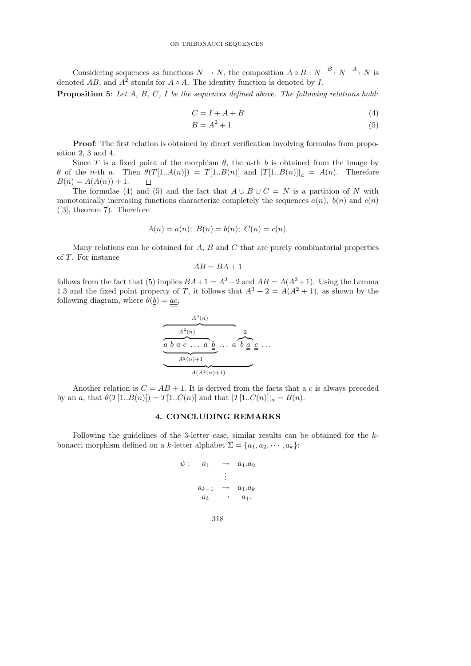Considering sequences as functions  $N \to N$ , the composition  $A \circ B : N \xrightarrow{B} N \xrightarrow{A} N$  is denoted  $AB$ , and  $A^2$  stands for  $A \circ A$ . The identity function is denoted by I.

Proposition 5: Let A, B, C, I be the sequences defined above. The following relations hold:

$$
C = I + A + B \tag{4}
$$

$$
B = A^2 + 1\tag{5}
$$

Proof: The first relation is obtained by direct verification involving formulas from proposition 2, 3 and 4.

Since T is a fixed point of the morphism  $\theta$ , the n-th b is obtained from the image by  $\theta$  of the n-th a. Then  $\theta(T[1..A(n)]) = T[1..B(n)]$  and  $|T[1..B(n)]|_a = A(n)$ . Therefore  $B(n) = A(A(n)) + 1.$  $\Box$ 

The formulae (4) and (5) and the fact that  $A \cup B \cup C = N$  is a partition of N with monotonically increasing functions characterize completely the sequences  $a(n)$ ,  $b(n)$  and  $c(n)$ ([3], theorem 7). Therefore

$$
A(n) = a(n); B(n) = b(n); C(n) = c(n).
$$

Many relations can be obtained for  $A$ ,  $B$  and  $C$  that are purely combinatorial properties of T. For instance

$$
AB = BA + 1
$$

follows from the fact that (5) implies  $BA+1 = A^3+2$  and  $AB = A(A^2+1)$ . Using the Lemma 1.3 and the fixed point property of T, it follows that  $A^3 + 2 = A(A^2 + 1)$ , as shown by the following diagram, where  $\theta(\underline{b}) = \underline{ac}$ ,

$$
\overbrace{\underbrace{a \ b \ a \ c \ \dots \ a \ \underline{b}}_{A^2(n)+1}}^{A^3(n)} \dots \overbrace{a \ b \ \underline{a} \ \underline{c}}^{2} \dots
$$

Another relation is  $C = AB + 1$ . It is derived from the facts that a c is always preceded by an a, that  $\theta(T[1..B(n)]) = T[1..C(n)]$  and that  $|T[1..C(n)]|_a = B(n)$ .

## 4. CONCLUDING REMARKS

Following the guidelines of the 3-letter case, similar results can be obtained for the kbonacci morphism defined on a k-letter alphabet  $\Sigma = \{a_1, a_2, \dots, a_k\}$ :

$$
\psi: \quad a_1 \quad \to \quad a_1.a_2
$$

$$
\vdots
$$

$$
a_{k-1} \quad \to \quad a_1.a_k
$$

$$
a_k \quad \to \quad a_1.
$$

| ٧ | ×<br>۰. |
|---|---------|